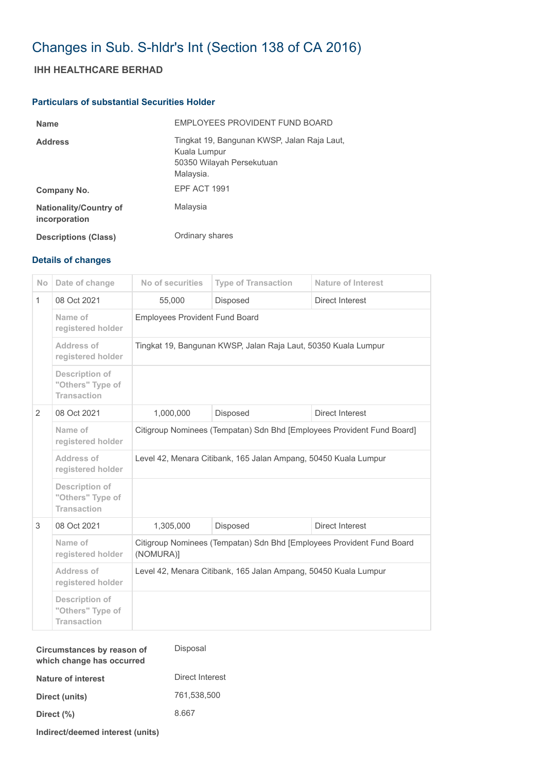## Changes in Sub. S-hldr's Int (Section 138 of CA 2016)

## **IHH HEALTHCARE BERHAD**

## **Particulars of substantial Securities Holder**

| <b>Name</b>                                    | EMPLOYEES PROVIDENT FUND BOARD                                                                        |
|------------------------------------------------|-------------------------------------------------------------------------------------------------------|
| <b>Address</b>                                 | Tingkat 19, Bangunan KWSP, Jalan Raja Laut,<br>Kuala Lumpur<br>50350 Wilayah Persekutuan<br>Malaysia. |
| Company No.                                    | EPF ACT 1991                                                                                          |
| <b>Nationality/Country of</b><br>incorporation | Malaysia                                                                                              |
| <b>Descriptions (Class)</b>                    | Ordinary shares                                                                                       |

## **Details of changes**

| <b>No</b>    | Date of change                                                  | No of securities                                                                   | <b>Type of Transaction</b> | <b>Nature of Interest</b> |  |
|--------------|-----------------------------------------------------------------|------------------------------------------------------------------------------------|----------------------------|---------------------------|--|
| $\mathbf{1}$ | 08 Oct 2021                                                     | 55,000                                                                             | <b>Disposed</b>            | Direct Interest           |  |
|              | Name of<br>registered holder                                    | <b>Employees Provident Fund Board</b>                                              |                            |                           |  |
|              | Address of<br>registered holder                                 | Tingkat 19, Bangunan KWSP, Jalan Raja Laut, 50350 Kuala Lumpur                     |                            |                           |  |
|              | <b>Description of</b><br>"Others" Type of<br><b>Transaction</b> |                                                                                    |                            |                           |  |
| 2            | 08 Oct 2021                                                     | 1,000,000                                                                          | Disposed                   | <b>Direct Interest</b>    |  |
|              | Name of<br>registered holder                                    | Citigroup Nominees (Tempatan) Sdn Bhd [Employees Provident Fund Board]             |                            |                           |  |
|              | Address of<br>registered holder                                 | Level 42, Menara Citibank, 165 Jalan Ampang, 50450 Kuala Lumpur                    |                            |                           |  |
|              | <b>Description of</b><br>"Others" Type of<br><b>Transaction</b> |                                                                                    |                            |                           |  |
| 3            | 08 Oct 2021                                                     | 1,305,000                                                                          | <b>Disposed</b>            | Direct Interest           |  |
|              | Name of<br>registered holder                                    | Citigroup Nominees (Tempatan) Sdn Bhd [Employees Provident Fund Board<br>(NOMURA)] |                            |                           |  |
|              | Address of<br>registered holder                                 | Level 42, Menara Citibank, 165 Jalan Ampang, 50450 Kuala Lumpur                    |                            |                           |  |
|              | <b>Description of</b><br>"Others" Type of<br><b>Transaction</b> |                                                                                    |                            |                           |  |

| Circumstances by reason of<br>which change has occurred | Disposal        |
|---------------------------------------------------------|-----------------|
| Nature of interest                                      | Direct Interest |
| Direct (units)                                          | 761.538.500     |
| Direct (%)                                              | 8.667           |
| Indirect/deemed interest (units)                        |                 |